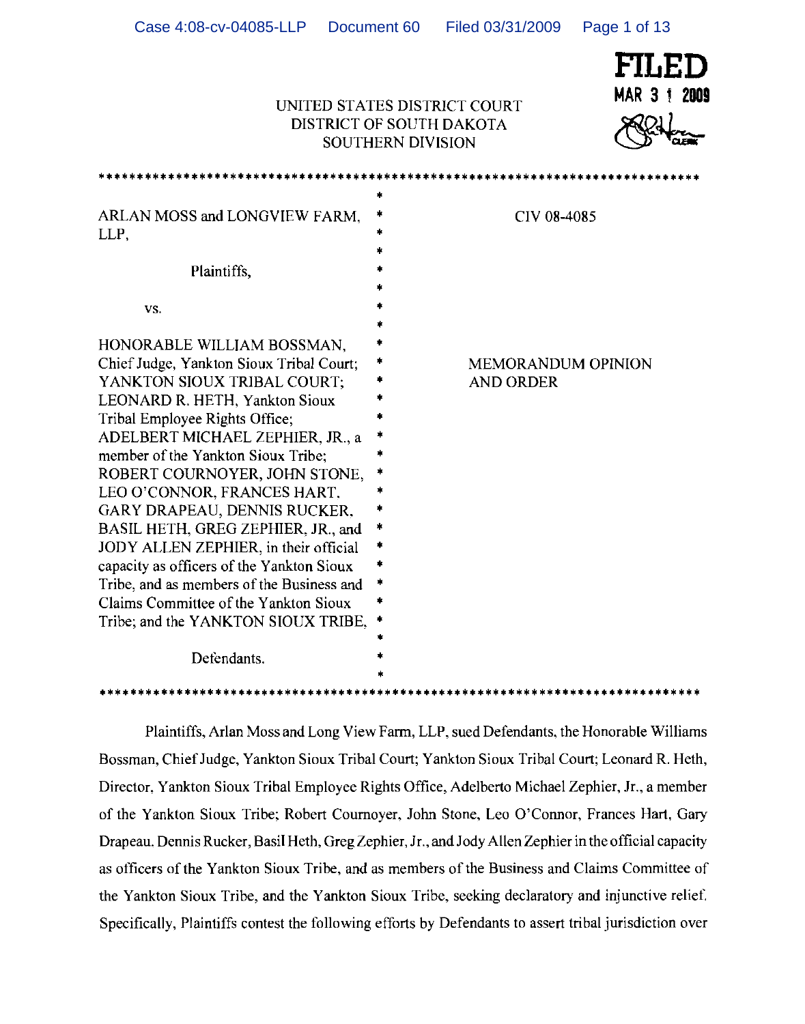| FILED |  |              |
|-------|--|--------------|
|       |  | MAR 3 † 2009 |
| RRH   |  |              |

### **UNITED STATES DISTRICT COURT** DISTRICT OF SOUTH DAKOTA D STATES DISTRICT COURT<br>RICT OF SOUTH DAKOTA<br>SOUTHERN DIVISION

| ARLAN MOSS and LONGVIEW FARM.<br>LLP,<br>Plaintiffs,                                                                                                                                                                                                                                                                                                                                                                                                                                                                                                                                                                        | $\ast$<br>CIV 08-4085                                        |
|-----------------------------------------------------------------------------------------------------------------------------------------------------------------------------------------------------------------------------------------------------------------------------------------------------------------------------------------------------------------------------------------------------------------------------------------------------------------------------------------------------------------------------------------------------------------------------------------------------------------------------|--------------------------------------------------------------|
| VS.                                                                                                                                                                                                                                                                                                                                                                                                                                                                                                                                                                                                                         |                                                              |
| HONORABLE WILLIAM BOSSMAN,<br>Chief Judge, Yankton Sioux Tribal Court;<br>YANKTON SIOUX TRIBAL COURT;<br>LEONARD R. HETH, Yankton Sioux<br>Tribal Employee Rights Office;<br>ADELBERT MICHAEL ZEPHIER, JR., a<br>member of the Yankton Sioux Tribe:<br>ROBERT COURNOYER, JOHN STONE,<br>LEO O'CONNOR, FRANCES HART,<br>GARY DRAPEAU, DENNIS RUCKER,<br>BASIL HETH, GREG ZEPHIER, JR., and<br>JODY ALLEN ZEPHIER, in their official<br>capacity as officers of the Yankton Sioux<br>Tribe, and as members of the Business and<br>Claims Committee of the Yankton Sioux<br>Tribe; and the YANKTON SIOUX TRIBE,<br>Defendants. | <b>MEMORANDUM OPINION</b><br><b>AND ORDER</b><br>$\ast$<br>* |

Plaintiffs, Arlan Moss and Long View Farm, LLP, sued Defendants, the Honorable Williams Bossman, ChiefJudge, Yankton Sioux Tribal Court; Yankton Sioux Tribal Court; Leonard R. Heth, Director, Yankton Sioux Tribal Employee Rights Office, Adelberto Michael Zephier, Jr., a member of the Yankton Sioux Tribe; Robert Cournoyer, John Stone, Leo O'Connor, Frances Hart, Gary Drapeau. Dennis Rucker, Basil Heth, Greg Zephier, Jr., and Jody Allen Zephier in the official capacity as officers of the Yankton Sioux Tribe, and as members of the Business and Claims Committee of the Yankton Sioux Tribe, and the Yankton Sioux Tribe, seeking declaratory and injunctive relief. Specifically, Plaintiffs contest the following efforts by Defendants to assert tribal jurisdiction over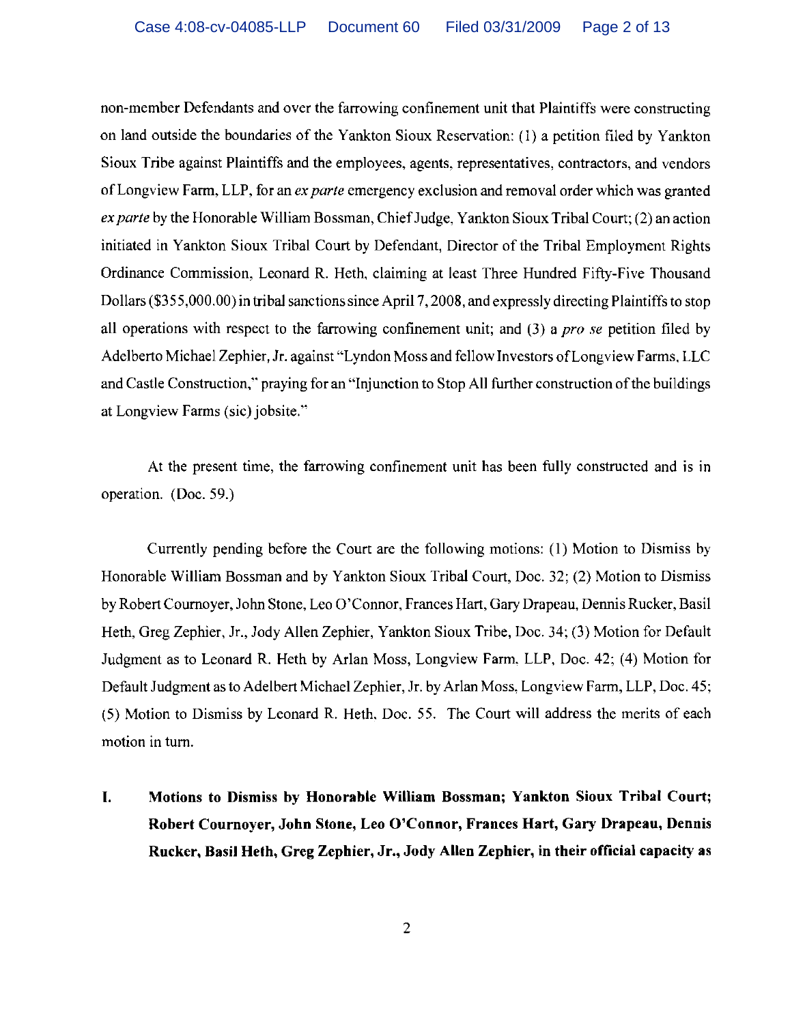non-member Defendants and over the farrowing confinement unit that Plaintiffs were constructing on land outside the boundaries of the Yankton Sioux Reservation: (1) a petition filed by Yankton Sioux Tribe against Plaintiffs and the employees, agents, representatives, contractors, and vendors of Longview Farm, LLP, for an *ex parte* emergency exclusion and removal order which was granted *ex parte* by the Honorable William Bossman, Chief Judge, Yankton Sioux Tribal Court; (2) an action initiated in Yankton Sioux Tribal Court by Defendant, Director of the Tribal Employment Rights Ordinance Commission, Leonard R. Heth, claiming at least Three Hundred Fifty-Five Thousand Dollars (\$355,000.00) in tribal sanctions since April 7, 2008, and expressly directing Plaintiffs to stop all operations with respect to the farrowing confinement unit; and (3) a *pro se* petition filed by Adelberto Michael Zephier. Jr. against "Lyndon Moss and fellow Investors ofLongview Farms, LLC and Castle Construction," praying for an "Injunction to Stop All further construction of the buildings at Longview Farms (sic) jobsite."

At the present time, the farrowing confinement unit has been fully constructed and is in operation. (Doc. 59.)

Currently pending before the Court are the following motions: (1) Motion to Dismiss by Honorable William Bossman and by Yankton Sioux Tribal Court, Doc. 32; (2) Motion to Dismiss by Robert Cournoyer, John Stone, Leo O'Connor, Frances Hart, Gary Drapeau, Dennis Rucker, Basil Heth, Greg Zephier, Jr., Jody Allen Zephier, Yankton Sioux Tribe, Doc. 34; (3) Motion for Default Judgment as to Leonard R. Heth by Arlan Moss, Longview Farm, LLP, Doc. 42; (4) Motion for Default Judgment as to Adelbert Michael Zephier, Jr. by Arlan Moss, Longview Farm, LLP, Doc. 45; (5) Motion to Dismiss by Leonard R. Heth. Doc. 55. The Court will address the merits of each motion in tum.

**I. Motions to Dismiss by Honorable William Bossman; Yankton Sioux Tribal Court; Robert Cournoyer, John Stone, Leo O'Connor, Frances Hart, Gary Drapeau, Dennis Rucker, Basil Heth, Greg Zephier, Jr., Jody Allen Zephier, in their official capacity as**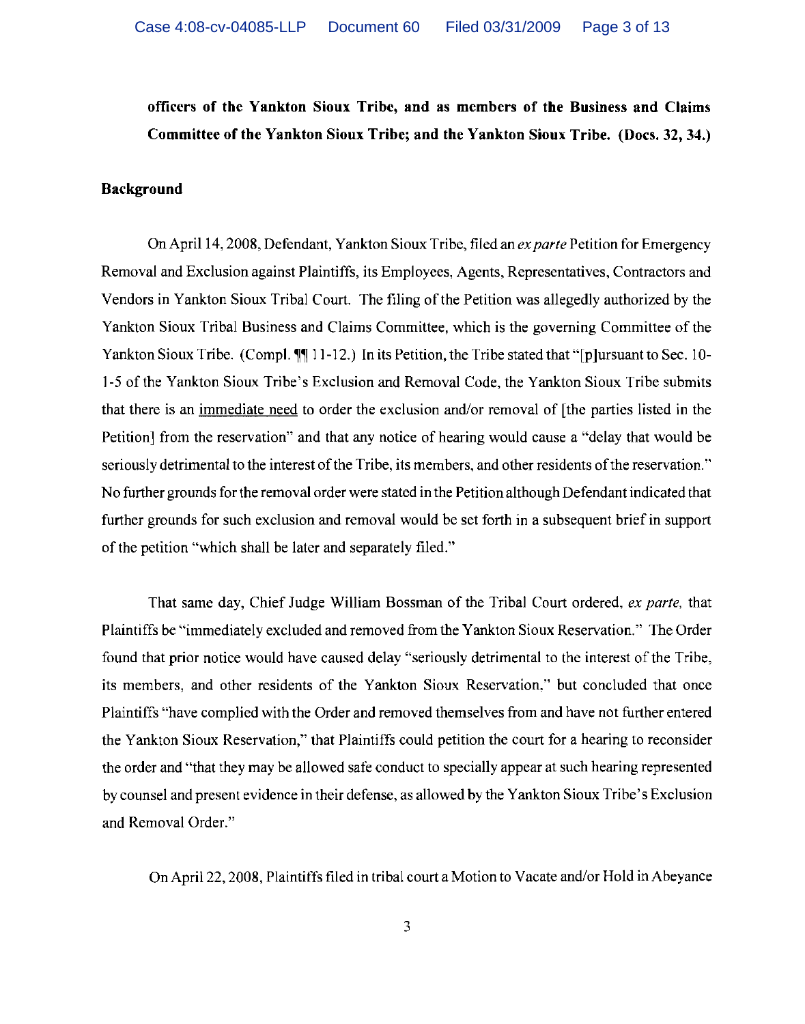## officers of the Yankton Sioux Tribe, and as members of the Business and Claims Committee of the Yankton Sioux Tribe; and the Yankton Sioux Tribe. (Docs. 32, 34.)

### Background

On April 14, 2008, Defendant, Yankton Sioux Tribe, filed an *exparte* Petition for Emergency Removal and Exclusion against Plaintiffs, its Employees, Agents, Representatives, Contractors and Vendors in Yankton Sioux Tribal Court. The filing of the Petition was allegedly authorized by the Yankton Sioux Tribal Business and Claims Committee, which is the governing Committee of the Yankton Sioux Tribe. (Compl.  $\P\P$  11-12.) In its Petition, the Tribe stated that "[p]ursuant to Sec. 10-1-5 of the Yankton Sioux Tribe's Exclusion and Removal Code, the Yankton Sioux Tribe submits that there is an immediate need to order the exclusion and/or removal of [the parties listed in the Petition] from the reservation" and that any notice of hearing would cause a "delay that would be seriously detrimental to the interest of the Tribe, its members, and other residents of the reservation." No further grounds for the removal order were stated in the Petition although Defendant indicated that further grounds for such exclusion and removal would be set forth in a subsequent brief in support of the petition "which shall be later and separately filed."

That same day, Chief Judge William BDssman *Df* the Tribal CDUrt ordered. *ex parte,* that Plaintiffs be "immediately excluded and removed from the Yankton Sioux Reservation." The Order found that prior notice would have caused delay "seriously detrimental to the interest of the Tribe, its members, and other residents of the Yankton Sioux Reservation," but concluded that once Plaintiffs "have complied with the Order and removed themselves from and have not further entered the Yankton Sioux Reservation," that Plaintiffs could petition the court for a hearing to reconsider the order and "that they may be allowed safe conduct to specially appear at such hearing represented by counsel and present evidence in their defense, as allowed by the Yankton Sioux Tribe's Exclusion and Removal Order."

On April 22, 2008, Plaintiffs filed in tribal court a Motion to Vacate and/or Hold in Abeyance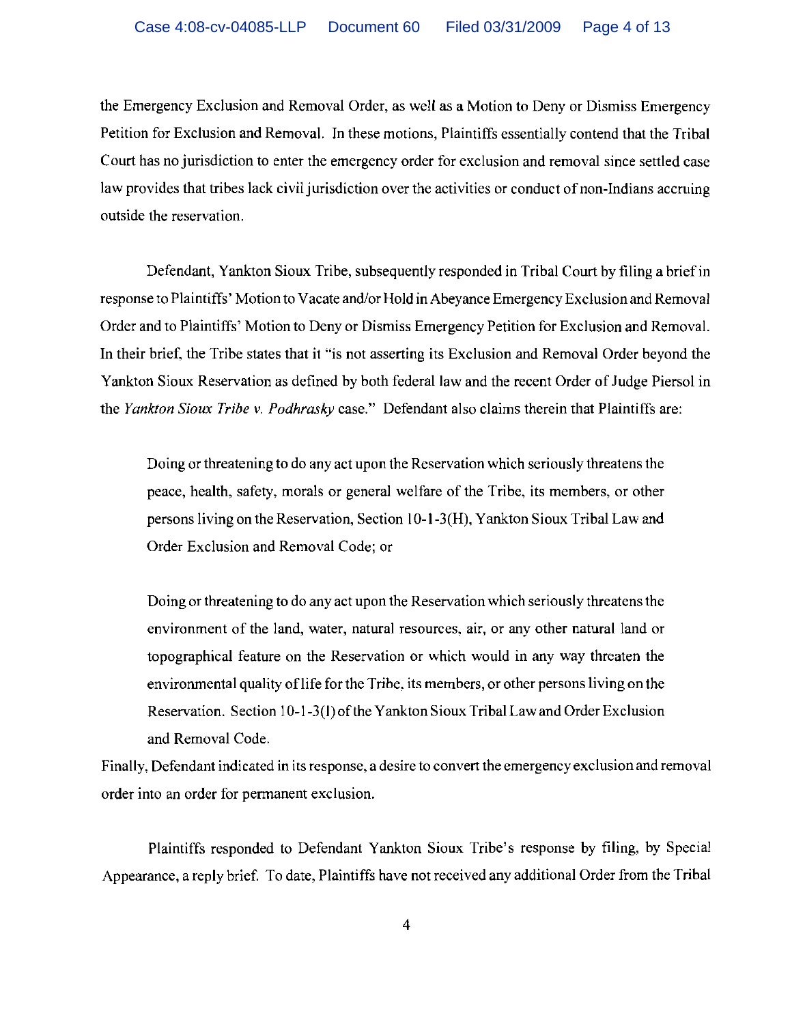the Emergency Exclusion and Removal Order, as well as a Motion to Deny or Dismiss Emergency Petition for Exclusion and Removal. In these motions, Plaintiffs essentially contend that the Tribal Court has no jurisdiction to enter the emergency order for exclusion and removal since settled case law provides that tribes lack civil jurisdiction over the activities or conduct of non-Indians accruing outside the reservation.

Defendant, Yankton Sioux Tribe, subsequently responded in Tribal Court by filing a brief in response to Plaintiffs' Motion to Vacate and/or Hold in Abeyance Emergency Exclusion and Removal Order and to Plaintiffs' Motion to Deny or Dismiss Emergency Petition for Exclusion and Removal. In their brief, the Tribe states that it "is not asserting its Exclusion and Removal Order beyond the Yankton Sioux Reservation as defined by both federal law and the recent Order of Judge Piersol in the *Yankton Sioux Tribe v. Podhrasky* case." Defendant also claims therein that Plaintiffs are:

Doing or threatening to do any act upon the Reservation which seriously threatens the peace, health, safety, morals or general welfare of the Tribe, its members, or other persons living on the Reservation, Section 1O-1-3(H), Yankton Sioux Tribal Law and Order Exclusion and Removal Code; or

Doing or threatening to do any act upon the Reservation which seriously threatens the environment of the land, water, natural resources, air, or any other natural land or topographical feature on the Reservation or which would in any way threaten the environmental quality of life for the Tribe, its members, or other persons living on the Reservation. Section 10-1-3(I) of the Yankton Sioux Tribal Law and Order Exclusion and Removal Code.

Finally, Defendant indicated in its response, a desire to convert the emergency exclusion and removal order into an order for permanent exclusion.

Plaintiffs responded to Defendant Yankton Sioux Tribe's response by filing, by Special Appearance, a reply brief. To date, Plaintiffs have not received any additional Order from the Tribal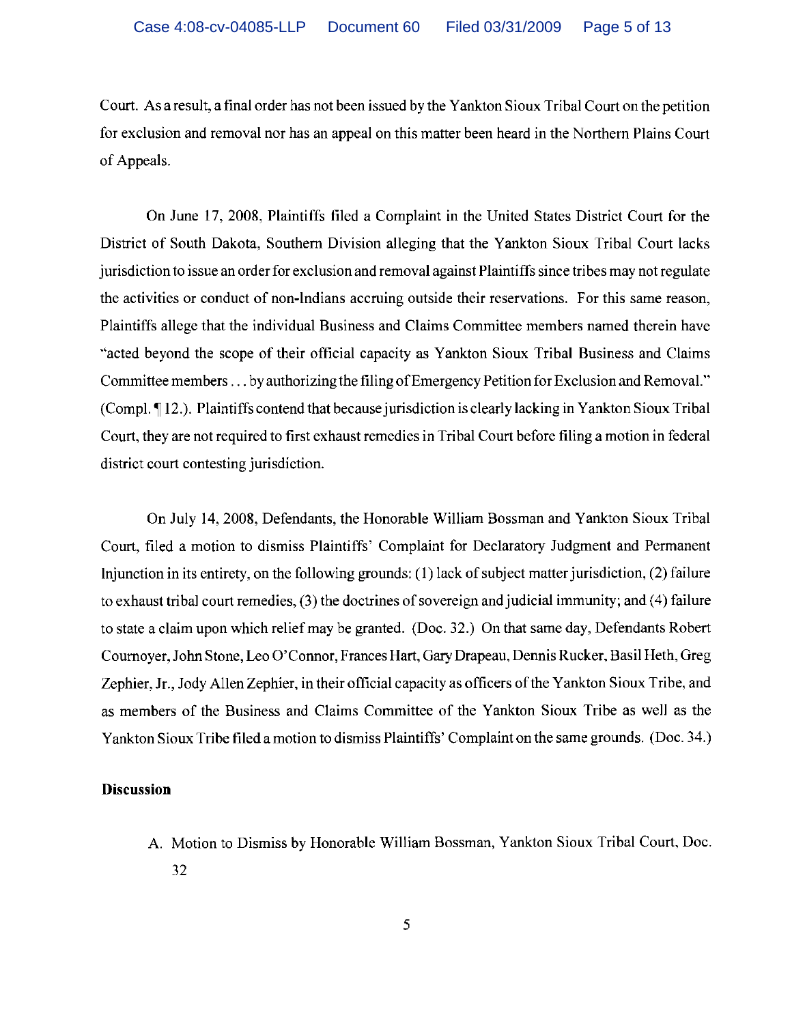Court. As a result, a final order has not been issued by the Yankton Sioux Tribal Court on the petition for exclusion and removal nor has an appeal on this matter been heard in the Northern Plains Court of Appeals.

On June 17, 2008, Plaintiffs filed a Complaint in the United States District Court for the District of South Dakota, Southern Division alleging that the Yankton Sioux Tribal Court lacks jurisdiction to issue an order for exclusion and removal against Plaintiffs since tribes may not regulate the activities or conduct of non-Indians accruing outside their reservations. For this same reason, Plaintiffs allege that the individual Business and Claims Committee members named therein have "acted beyond the scope of their official capacity as Yankton Sioux Tribal Business and Claims Committee members . . . by authorizing the filing of Emergency Petition for Exclusion and Removal." (Compl. 12.). Plaintiffs contend that because jurisdiction is clearly lacking in Yankton Sioux Tribal Court, they are not required to first exhaust remedies in Tribal Court before filing a motion in federal district court contesting jurisdiction.

On July 14, 2008, Defendants, the Honorable William Bossman and Yankton Sioux Tribal Court, filed a motion to dismiss Plaintiffs' Complaint for Declaratory Judgment and Permanent Injunction in its entirety, on the following grounds: (I) lack of subject matter jurisdiction, (2) failure to exhaust tribal court remedies, (3) the doctrines of sovereign and judicial immunity; and (4) failure to state a claim upon which relief may be granted. (Doc. 32.) On that same day, Defendants Robert Cournoyer, John Stone, Leo O'Connor, Frances Hart, Gary Drapeau, Dennis Rucker. Basil Heth, Greg Zephier, Jr., Jody Allen Zephier, in their official capacity as officers of the Yankton Sioux Tribe, and as members of the Business and Claims Committee of the Yankton Sioux Tribe as well as the Yankton Sioux Tribe filed a motion to dismiss Plaintiffs' Complaint on the same grounds. (Doc. 34.)

#### **Discussion**

A. Motion to Dismiss by Honorable William Bossman, Yankton Sioux Tribal Court, Doc. 32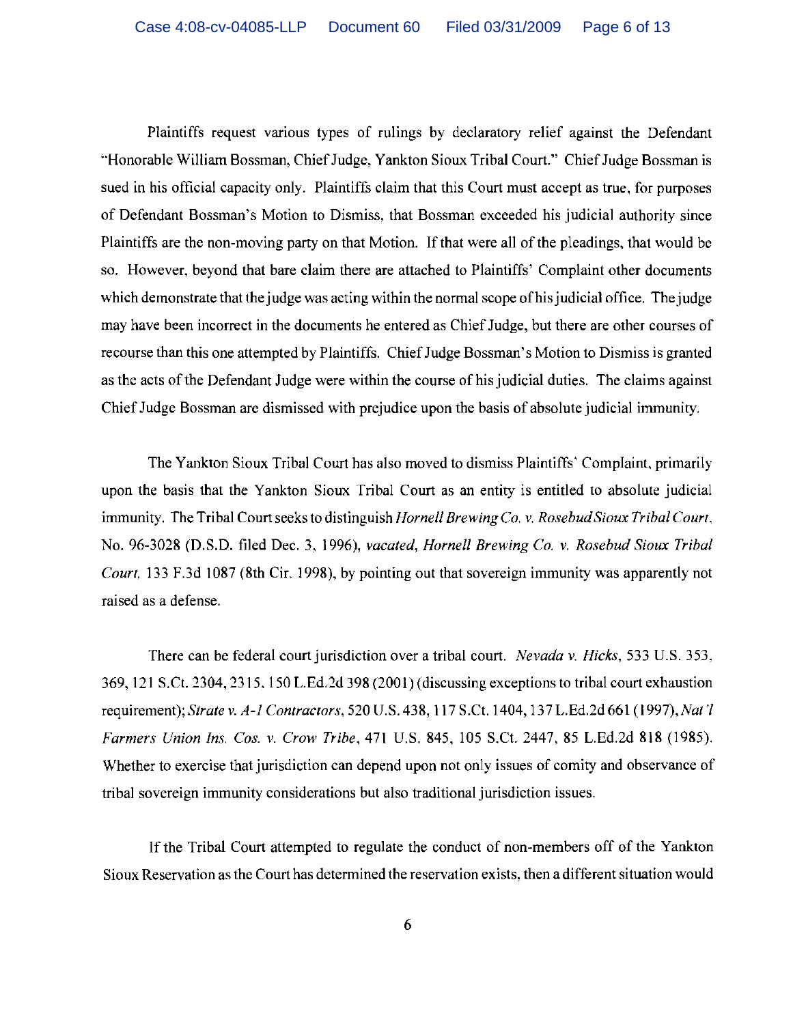Plaintiffs request various types of rulings by declaratory relief against the Defendant "Honorable William Bossman, Chief Judge, Yankton Sioux Tribal Court." Chief Judge Bossman is sued in his official capacity only. Plaintiffs claim that this Court must accept as true, for purposes of Defendant Bossman's Motion to Dismiss, that Bossman exceeded his judicial authority since Plaintiffs are the non-moving party on that Motion. If that were all of the pleadings, that would be so. However, beyond that bare claim there are attached to Plaintiffs' Complaint other documents which demonstrate that the judge was acting within the normal scope of his judicial office. The judge may have been incorrect in the documents he entered as Chief Judge, but there are other courses of recourse than this one attempted by Plaintiffs. Chief Judge Bossman's Motion to Dismiss is granted as the acts of the Defendant Judge were within the course of his judicial duties. The claims against Chief Judge Bossman are dismissed with prejudice upon the basis of absolute judicial immuniiy.

The Yankton Sioux Tribal Court has also moved to dismiss Plaintiffs' Complaint, primarily upon the basis that the Yankton Sioux Tribal Court as an entity is entitled to absolute judicial immunity. The Tribal Court seeks to distinguish *Hornell Brewing Co.* v. *RosebudSioux Tribal Court,*  No. 96-3028 (D.S.D. filed Dec. 3, 1996), *vacated, Hornell Brewing Co.* v, *Rosebud Sioux Tribal Court*, 133 F.3d 1087 (8th Cir, 1998), by pointing out that sovereign immunity was apparently not raised as a defense.

There can be federal court jurisdiction over a tribal court. *Nevada* v. *Hicks,* 533 U.S. 353, 369, 121 S.C!. 2304, 2315. 150 L.Ed.2d 398 (2001) (discussing exceptions to tribal court exhaustion requirement); *Strate* v. *A-l Contractors,* 520 U.S. 438, 117 S.C!. 1404, 137 L.Ed.2d 661 *(1997),Nat* 'I *Farmers Union Ins, Cos.* v. *Crow Tribe,* 471 U.S. 845, 105 S.Ct. 2447, 85 L.Ed.2d 818 (1985). Whether to exercise that jurisdiction can depend upon not only issues of comity and observance of tribal sovereign immunity considerations but also traditional jurisdiction issues.

If the Tribal Court attempted to regulate the conduct of non-members off of the Yankton Sioux Reservation as the Court has determined the reservation exists. then a different situation would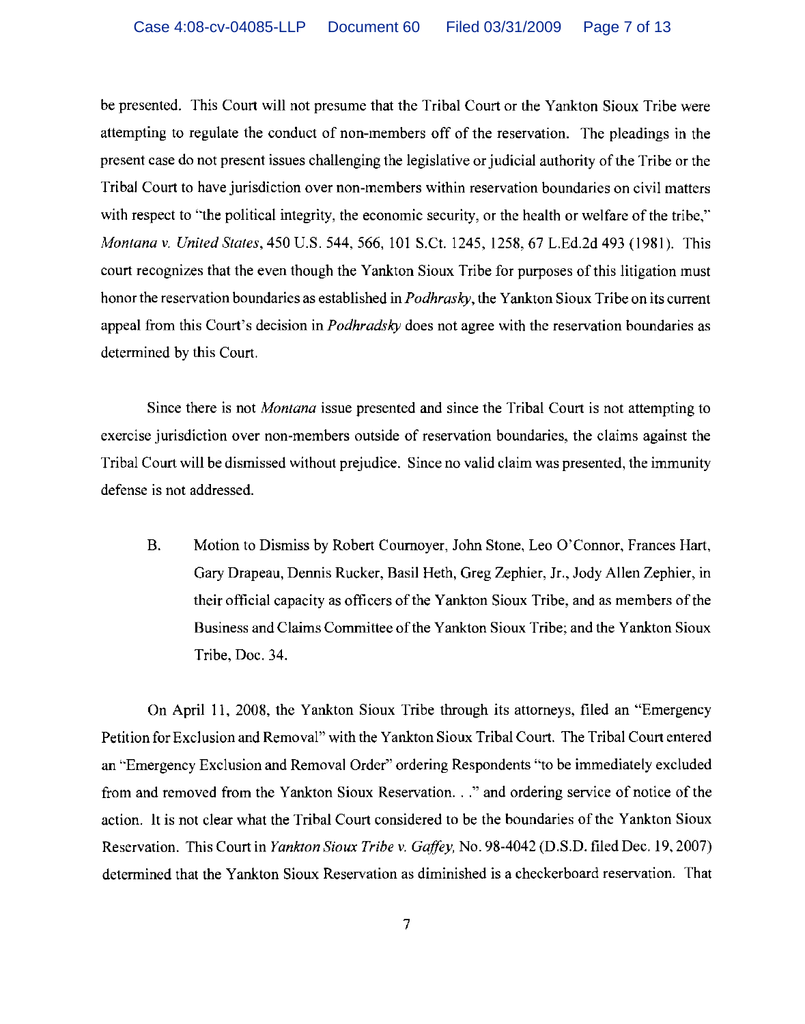be presented. This Court will not presume that the Tribal Court or the Yankton Sioux Tribe were attempting to regulate the conduct of non-members off of the reservation. The pleadings in the present case do not present issues challenging the legislative or judicial authority of the Tribe or the Tribal Court to have jurisdiction over non-members within reservation boundaries on civil matters with respect to "the political integrity, the economic security, or the health or welfare of the tribe," *Montana* v. *United States,* 450 U.S. 544, 566,101 S.C!. 1245, 1258,67 L.Ed.2d 493 (1981). This court recognizes that the even though the Yankton Sioux Tribe for purposes of this litigation must honor the reservation boundaries as established in *Podhrasky,* the Yankton Sioux Tribe on its current appeal from this Court's decision in *Podhradsky* does not agree with the reservation boundaries as determined by this Court.

Since there is not *Montana* issue presented and since the Tribal Court is not attempting to exercise jurisdiction over non-members outside of reservation boundaries, the claims against the Tribal Court will be dismissed without prejudice. Since no valid claim was presented, the immunity defense is not addressed.

B. Motion to Dismiss by Robert Cournoyer, John Stone, Leo O'Connor, Frances Hart, Gary Drapeau, Dennis Rucker, Basil Heth, Greg Zephier, Jr., *lody* Allen Zephier, in their official capacity as officers of the Yankton Sioux Tribe, and as members of the Business and Claims Committee ofthe Yankton Sioux Tribe; and the Yankton Sioux Tribe, Doc. 34.

On April II, 2008, the Yankton Sioux Tribe through its attorneys, filed an "Emergency Petition for Exclusion and Removal" with the Yankton Sioux Tribal Court. The Tribal Court entered an "Emergency Exclusion and Removal Order" ordering Respondents "to be immediately excluded from and removed from the Yankton Sioux Reservation..." and ordering service of notice of the action. It is not clear what the Tribal Court considered to be the boundaries of the Yankton Sioux Reservation. This Court in *Yankton Sioux Tribe* v. *Gaffey,* No. 98-4042 (D. S.D. filed Dec. 19,2007) determined that the Yankton Sioux Reservation as diminished is a checkerboard reservation. That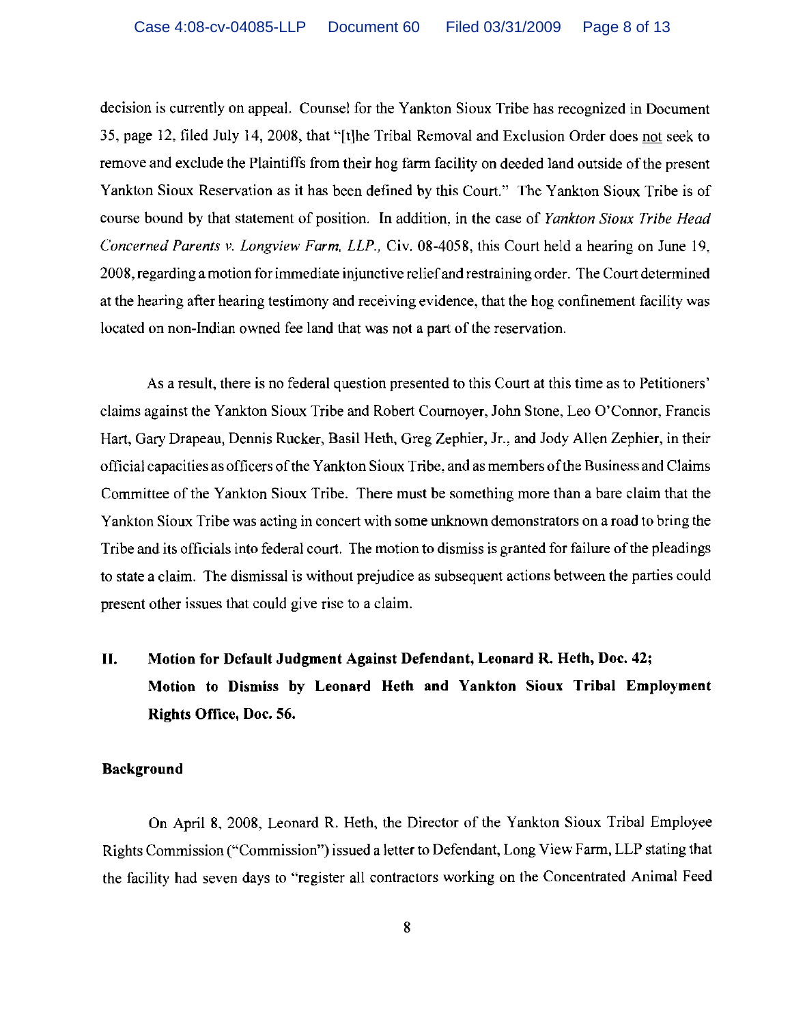decision is currently on appeal. Counsel for the Yankton Sioux Tribe has recognized in Document 35, page 12, tiled July 14, 2008, that "[t]he Tribal Removal and Exclusion Order does not seek to remove and exclude the Plaintiffs from their hog farm facility on deeded land outside of the present Yankton Sioux Reservation as it has been defined by this Court." The Yankton Sioux Tribe is of course bound by that statement of position. In addition, in the case of *Yankton Sioux Tribe Head Concerned Parents v. Longview Farm, LLP.,* Civ. 08-4058, this Court held a hearing on June 19, 2008, regarding a motion for immediate injunctive reliefand restraining order. The Court determined at the hearing after hearing testimony and receiving evidence, that the hog confinement facility was located on non-Indian owned fee land that was not a part of the reservation.

As a result, there is no federal question presented to this Court at this time as to Petitioners' claims against the Yankton Sioux Tribe and Robert Cournoyer, John Stone, Leo O'Connor, Francis Hart, Gary Drapeau, Dennis Rucker, Basil Heth, Greg Zephier, Jr., and Jody Allen Zephier, in their official capacities as officers of the Yankton Sioux Tribe, and as members of the Business and Claims Committee of the Yankton Sioux Tribe. There must be something more than a bare claim that the Yankton Sioux Tribe was acting in concert with some unknown demonstrators on a road to bring the Tribe and its officials into federal court. The motion to dismiss is granted for failure of the pleadings to state a claim. The dismissal is without prejudice as subsequent actions between the parties could present other issues that could give rise to a claim.

# **II. Motion for Default Judgment Against Defendant, Leonard R. Heth, Doc. 42; Motion to Dismiss by Leonard Heth and Yankton Sioux Tribal Employment Rights Office, Doc. 56.**

### **Background**

On April 8, 2008, Leonard R. Heth, the Director of the Yankton Sioux Tribal Employee Rights Commission ("Commission") issued a letter to Defendant, Long View Farm, LLP stating that the facility had seven days to "register all contractors working on the Concentrated Animal Feed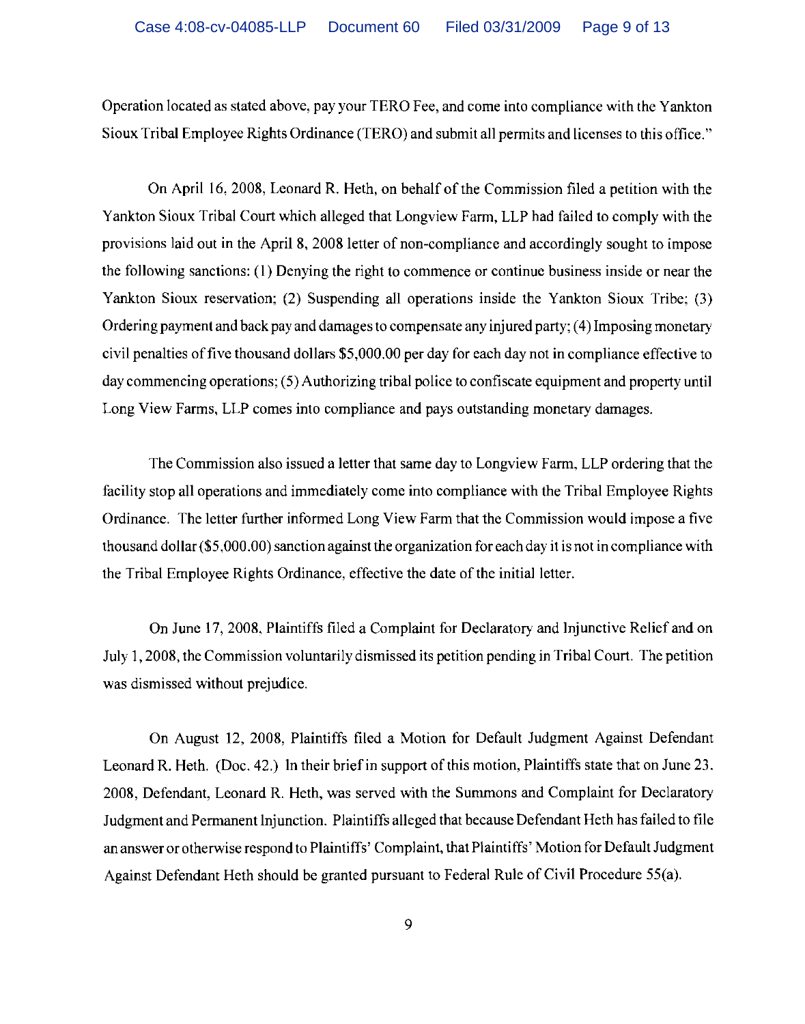Operation located as stated above, pay your TERO Fee, and come into compliance with the Yankton Sioux Tribal Employee Rights Ordinance (TERO) and submit all permits and licenses to this office."

On April 16, 2008, Leonard R. Heth, on behalf of the Commission filed a petition with the Yankton Sioux Tribal Court which alleged that Longview Farm, LLP had failed to comply with the provisions laid out in the April 8, 2008 letter of non-compliance and accordingly sought to impose the following sanctions: (I) Denying the right to commence or continue business inside or near the Yankton Sioux reservation; (2) Suspending all operations inside the Yankton Sioux Tribe; (3) Ordering payment and back pay and damages to compensate any injured party; (4) Imposing monetary civil penalties offive thousand dollars \$5,000.00 per day for each day not in compliance effective to day commencing operations; (5) Authorizing tribal police to confiscate equipment and property until Long View Farms, LLP comes into compliance and pays outstanding monetary damages.

The Commission also issued a letter that same day to Longview Farm, LLP ordering that the facility stop all operations and immediately come into compliance with the Tribal Employee Rights Ordinance. The letter further informed Long View Farm that the Commission would impose a five thousand dollar (\$5,000.00) sanction against the organization for each day it is not in compliance with the Tribal Employee Rights Ordinance, effective the date of the initial letter.

On June 17,2008. Plaintiffs filed a Complaint for Declaratory and Injunctive Relief and on July l, 2008, the Commission voluntarily dismissed its petition pending in Tribal Court. The petition was dismissed without prejudice.

On August 12, 2008, Plaintiffs filed a Motion for Default Judgment Against Defendant Leonard R. Heth. (Doc. 42.) In their brief in support of this motion, Plaintiffs state that on June 23. 2008, Defendant, Leonard R. Heth, was served with the Summons and Complaint for Declaratory Judgment and Permanent Injunction. Plaintiffs alleged that because Defendant Heth has failed to file an answer or otherwise respond to Plaintiffs' Complaint, that Plaintiffs' Motion for Default Judgment Against Defendant Heth should be granted pursuant to Federal Rule of Civil Procedure 55(a).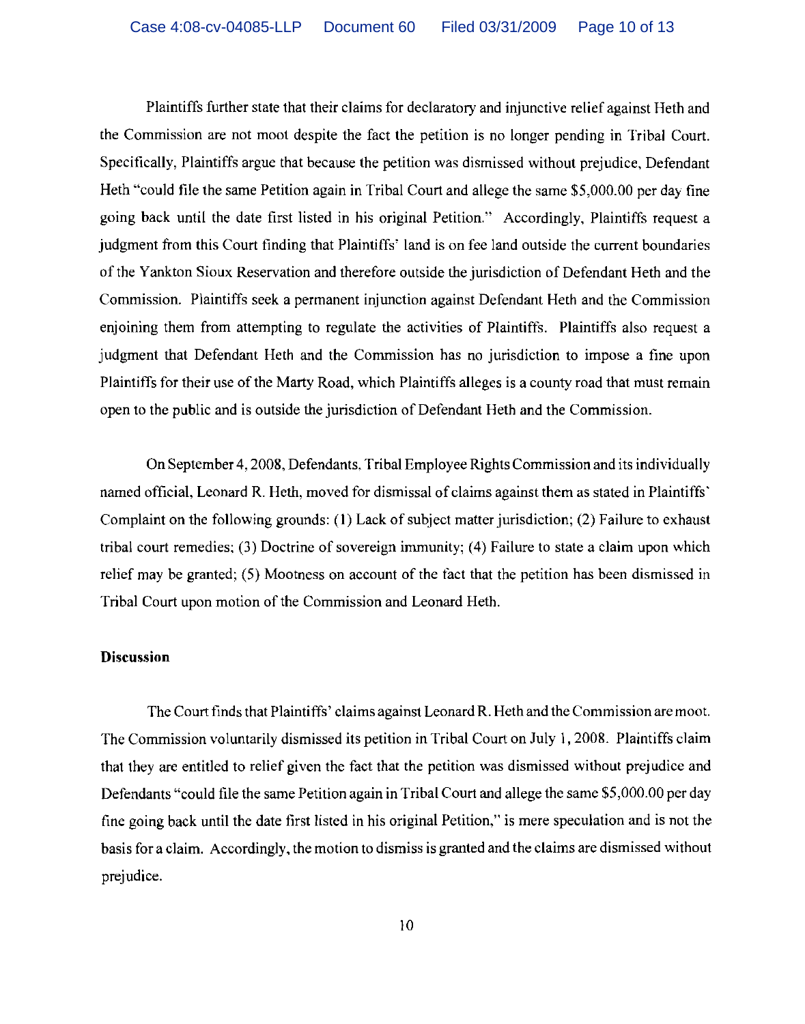Plaintiffs further state that their claims for declaratory and injunctive relief against Heth and the Commission are not moot despite the fact the petition is no longer pending in Tribal Court. Specifically, Plaintiffs argue that because the petition was dismissed without prejudice, Defendant Heth "could file the same Petition again in Tribal Court and allege the same \$5,000.00 per day fine going back until the date first listed in his original Petition." Accordingly, Plaintiffs request a judgment from this Court finding that Plaintiffs' land is on fee land outside the current boundaries of the Yankton Sioux Reservation and therefore outside the jurisdiction of Defendant Heth and the Commission. Plaintiffs seek a permanent injunction against Defendant Heth and the Commission enjoining them from attempting to regulate the activities of Plaintiffs. Plaintiffs also request a judgment that Defendant Heth and the Commission has no jurisdiction to impose a fine upon Plaintiffs for their use of the Marty Road, which Plaintiffs alleges is a county road that must remain open to the public and is outside the jurisdiction of Defendant Heth and the Commission.

On September 4,2008, Defendants. Tribal Employee Rights Commission and its individually named official, Leonard R. Heth, moved for dismissal of claims against them as stated in Plaintiffs' Complaint on the following grounds: (I) Lack of subject matter jurisdiction; (2) Failure to exhaust tribal court remedies; (3) Doctrine of sovereign immunity; (4) Failure to state a claim upon which relief may be granted; (5) Mootness on account of the fact that the petition has been dismissed in Tribal Court upon motion of the Commission and Leonard Heth.

### **Discussion**

The Court finds that Plaintiffs' claims against Leonard R. Heth and the Commission are moot. The Commission voluntarily dismissed its petition in Tribal Court on July I, 2008. Plaintiffs claim that they are entitled to relief given the fact that the petition was dismissed without prejudice and Defendants "could file the same Petition again **in** Tribal Court and allege the same \$5,000.00 per day fine going back until the date first listed in his original Petition," is mere speculation and is not the basis for a claim, Accordingly, the motion to dismiss is granted and the claims are dismissed without prejudice.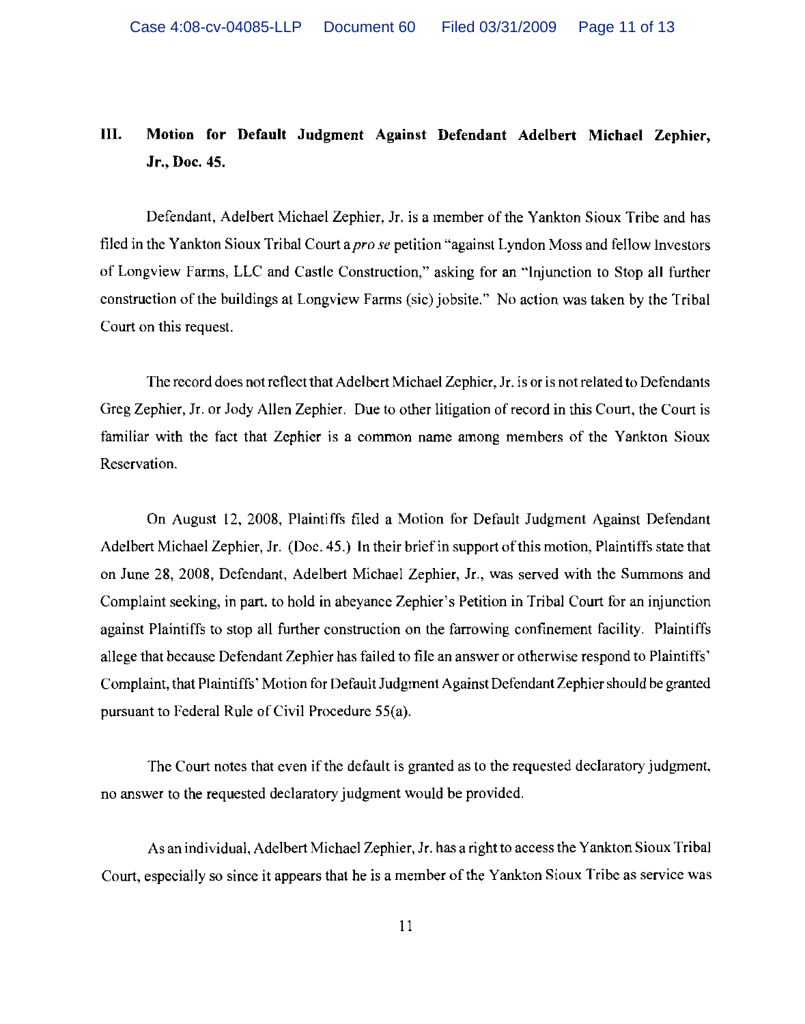## **III. Motion for Default Judgment** Against **Defendant Adelbert Michael Zephier,**  Jr., Doc. 45.

Defendant, Adelbert Michael Zephier, Jr. is a member of the Yankton Sioux Tribe and has filed in the Yankton Sioux Tribal Court a *pro se* petition "against Lyndon Moss and fellow Investors of Longview Farms, LLC and Castle Construction," asking for an "Injunction to Stop all further construction of the buildings at Longview Fanus (sic) jobsite." No action was taken by the Tribal Court on this request.

The record does not reflect that Adelbert Michael Zephier, Jr. is or is not related to Defendants Greg Zephier, Jr. or Jody Allen Zephier. Due to other litigation of record in this Court, the Court is familiar with the fact that Zephier is a common name among members of the Yankton Sioux Reservation.

On August 12, 2008, Plaintiffs filed a Motion for Default Judgment Against Defendant Adelbert Michael Zephier, Jr. (Doc. 45.) In their brief in support of this motion, Plaintiffs state that on June 28, 2008, Defendant, Adelbert Michael Zephier, Jr., was served with the Summons and Complaint seeking, in part, to hold in abeyance Zephier's Petition in Tribal Court for an injunction against Plaintiffs to stop all further construction on the farrowing confinement facility. Plaintiffs allege that because Defendant Zephier has failed to file an answer or otherwise respond to Plaintiffs' Complaint, that Plaintiffs' Motion for Default Judgment Against DefendantZephier should be granted pursuant to Federal Rule of Civil Procedure 55(a).

The Court notes that even if the default is granted as to the requested declaratory judgment, no answer to the requested declaratory judgment would be provided.

As an individual, Adelbert Michael Zephier, Jr. has a right to access the Yankton Sioux Tribal Court, especially so since it appears that he is a member of the Yankton Sioux Tribe as service was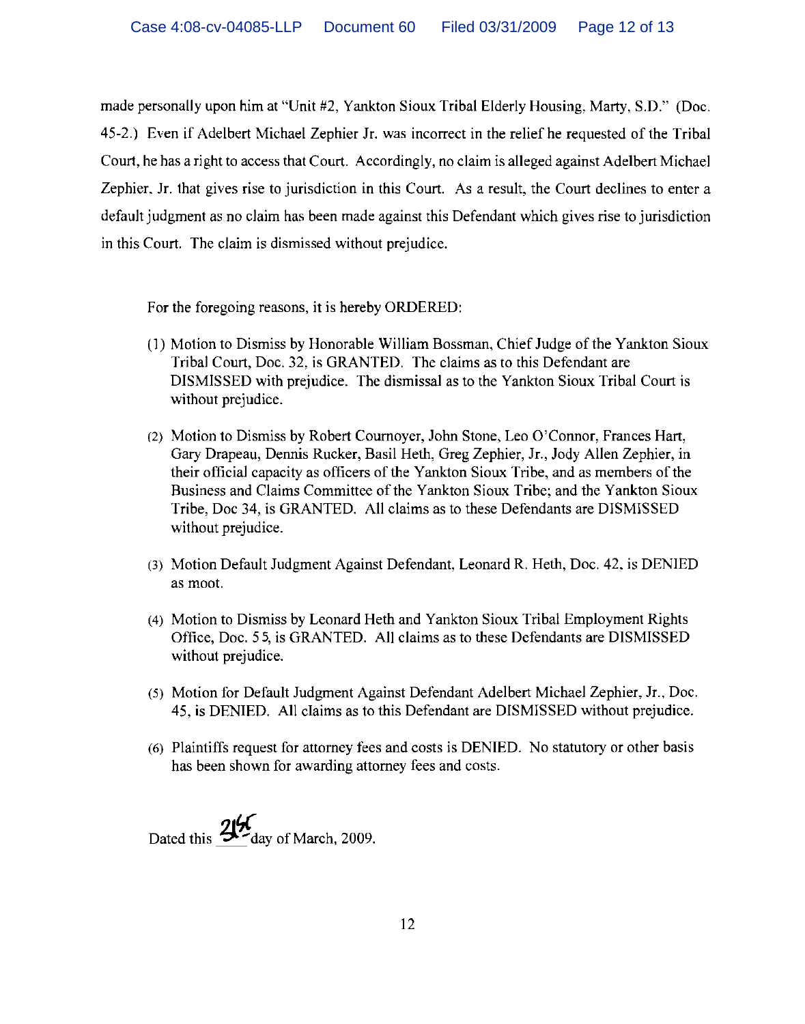made personally upon him at "Unit #2, Yankton Sioux Tribal Elderly Housing, Marty, S.D." (Doc. 45-2.) Even if Adelbert Michael Zephier Jr. was incorrect in the relief he requested of the Tribal Court, he has a right to access that Court. Accordingly, no claim is alleged against Adelbert Michael Zephier. Jr. that gives rise to jurisdiction in this Court. As a result, the Court declines to enter a default judgment as no claim has been made against this Defendant which gives rise to jurisdiction in this Court. The claim is dismissed without prejudice.

For the foregoing reasons, it is hereby ORDERED:

- (1) Motion to Dismiss by Honorable William Bossman, Chief Judge of the Yankton Sioux Tribal Court, Doc. 32, is GRANTED. The claims as to this Defendant are DISMISSED with prejudice. The dismissal as to the Yankton Sioux Tribal Court is without prejudice.
- (2) Motion to Dismiss by Robert Cournoyer, John Stone, Leo O'Connor, Frances Hart, Gary Drapeau, Dennis Rucker, Basil Heth, Greg Zephier, Jr., Jody Allen Zephier, in their official capacity as officers of the Yankton Sioux Tribe, and as members of the Business and Claims Committee of the Yankton Sioux Tribe; and the Yankton Sioux Tribe, Doc 34, is GRANTED. All claims as to these Defendants are DISMISSED without prejudice.
- (3) Motion Default Judgment Against Defendant, Leonard R. Heth, Doc. 42, is DENIED as moot.
- (4) Motion to Dismiss by Leonard Heth and Yankton Sioux Tribal Employment Rights Office, Doc. 55, is GRANTED. All claims as to these Defendants are DISMISSED without prejudice.
- (5) Motion for Default Judgment Against Defendant Adelbert Michael Zephier, Jr., Doc. 45, is DENIED. All claims as to this Defendant are DISMISSED without prejudice.
- (6) Plaintiffs request for attorney fees and costs is DENIED. No statutory or other basis has been shown for awarding attorney fees and costs.